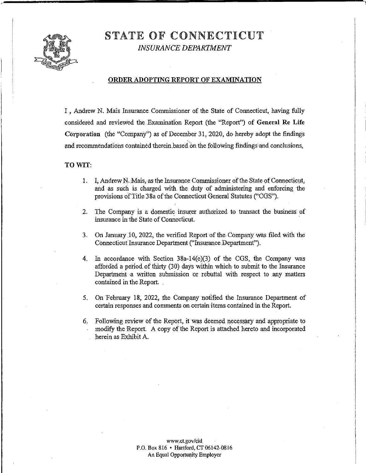STATE OF CONNECTICUT

*INSURANCE DEPARTMENT* 



#### **ORDER ADOPTING REPORT OF EXAMINATION**

I, Andrew N. Mais Insurance Commissioner of the State of Connecticut, having fully considered and reviewed the Examination Report (the "Report") of **General Re Life Corporation** (the "Company'') as of December 31, 2020, do hereby adopt the findings and recommendations contained therein based on the following findings and conclusions,

#### **TOWIT:**

- 1. I, Andrew N. Mais, as the Insurance Commissioner of the State of Connecticut, and as such is Charged with the duty of administering and enforcing the provisions of Title 38a of the Connecticut General Statutes ("CGS").
- 2. The Company is a domestic insurer authorized to transact the business of insurance in the State of Connecticut.
- 3. On January 10, 2022, the verified Report of the Company was filed with the Connecticut Insurance Department ("Insurance.Department").
- 4. In accordance with Section 38a-14(e)(3) of the CGS, the Company was afforded a period of thirty (30) days within which to submit to the Insurance Department a written submission or rebuttal with respect to any matters contained in the Report.
- 5. On February 18, 2022, the Company notified the Insurance Department of certain responses and comments on certain items contained in the Report.
- 6. Following review of the Report, it was deemed necessary ahd appropriate to modify the Report. A copy of the Report is attached hereto and incorporated herein as Exhibit A.

<www.ct.gov/cid> P.O. Box 816 • Hartford, CT 06142-0816 An Equal Opportunity Employer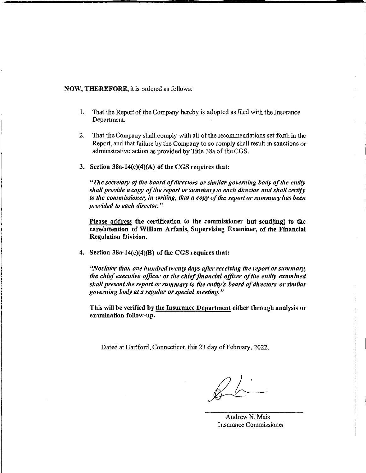#### NOW, THEREFORE, it is ordered as follows:

- 1. That the Report of the Company hereby is adopted as filed with the Insurance Department.
- 2. That the Company shall comply with all ofthe recommendations set forth in the Report, and that failure by the Company to so comply shall result in sanctions or administrative action as provided by Title 38a of the CGS.
- 3. Section 38a-14(e)(4)(A) of the CGS requires that:

*"The secretary oftlte board ofdirectors* 01· *similar goveming body ofthe entity shall provide a copy of the report or summary to each director and shall certify to the commissioner, in writing, that a copy of the report or summary has been provided to each director.*"

Please address the certification to the commissioner but send[ing] to the care/attention of William Arfanis, Supervising Examiner, of the Financial Regulation Division.

4. Section 38a-14(e)(4)(B) of the CGS requires that:

*"Not later than one hundred twenty days after receiving the report or summary,* the chief executive officer or the chief financial officer of the entity examined *slwll present the 1·eport or summary to the e1ttity <sup>1</sup> s board ofdirecto1·s or similar governing body at a regular or special meeting.*"

This will be verified by the Insurance Department either through analysis or examination follow-up.

Dated at Hartford, Connecticut, this 23 day of February, 2022.

 $26$ 

Andrew N. Mais Insurance Commissioner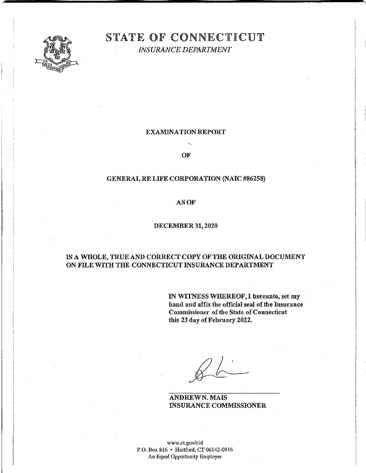

# STATE OF CONNECTICUT

*INSURANCE DEPARTMENT* 

### EXAMINATION REPORT

OF

#### GENERAL RE LIFE CORPORATION (NAIC#86258)

ASOF

#### DECEMBER 31,2020

## IS A WHOLE, TRUE AND CORRECT COPY OF THE ORIGINAL DOCUMENT ON FILE WITH THE CONNECTICUT INSURANCE DEPARTMENT

IN WITNESS WHEREOF,I hereunto, set my hand and affix the official seal of the Insurance Commissioner of the State ofConnecticut this 23 day of February 2022.

ANDREWN. MAIS INSURANCE COMMISSIONER

www.ct.gov/cid P.O. Box 816 • Hartford, CT 06142-0816 An Equal Opportunity Employer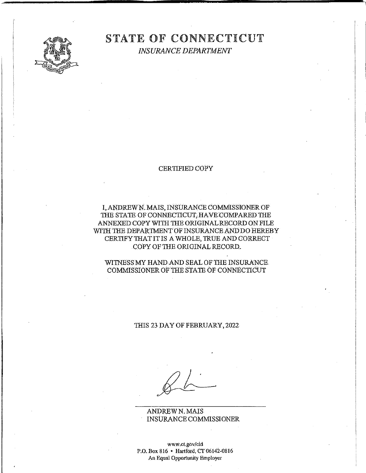

## STATE OF CONNECTICUT *INSURANCE DEPARTMENT*

#### CERTIFIED COPY

I,ANDREWN. MAIS, INSURANCE COMMISSIONEROF THE STATE OF CONNECTICUT, HAVE COMPARED THE ANNEXED COPY WITH THE ORIGINAL RECORD ON FILE WITH THE DEPARTMENT OF INSURANCE AND DO HEREBY CERTIFY'IHATIT IS AWHOLE, TRUE AND CORRECT COPY OF THE ORIGINAL RECORD.

#### WITNESS MY HAND AND SEAL OF THE INSURANCE. COMMISSIONER OF THE STATE OF CONNECTICUT

#### 1HIS 23 DAYOFFEBRUARY,2022

ANDREWN. MAIS INSURANCE COMMISSIONER

<www.ct.gov/cid> P.O. Box 816 • Hartford, CT 06142-0816 An Equal Opportunity Employer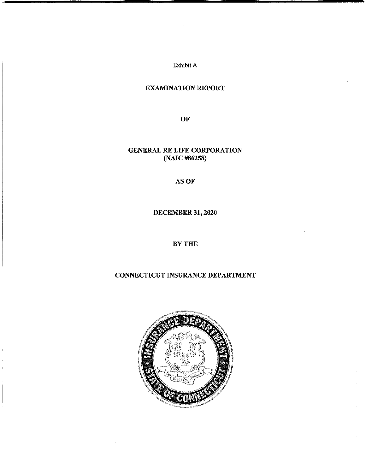Exhibit A

 $\frac{1}{2}$ 

## EXAMINATION REPORT

**OF** 

GENERAL RE LIFE CORPORATION (NAIC #86258)

ASOF

DECEMBER 31, 2020

## BYTHE

## CONNECTICUT INSURANCE DEPARTMENT

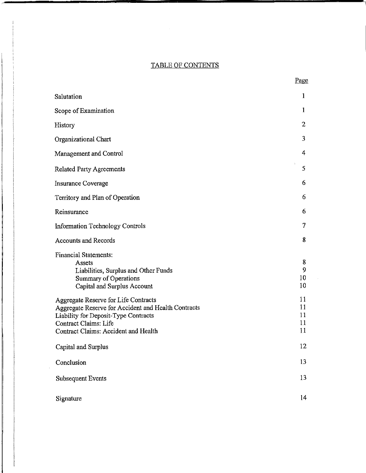## TABLE OF CONTENTS

| Salutation                                                                                                                                                                                                  | 1                          |
|-------------------------------------------------------------------------------------------------------------------------------------------------------------------------------------------------------------|----------------------------|
| Scope of Examination                                                                                                                                                                                        | $\mathbf{1}$               |
| History                                                                                                                                                                                                     | $\overline{2}$             |
| Organizational Chart                                                                                                                                                                                        | 3                          |
| Management and Control                                                                                                                                                                                      | 4                          |
| <b>Related Party Agreements</b>                                                                                                                                                                             | 5                          |
| Insurance Coverage                                                                                                                                                                                          | 6                          |
| Territory and Plan of Operation                                                                                                                                                                             | 6                          |
| Reinsurance                                                                                                                                                                                                 | 6                          |
| <b>Information Technology Controls</b>                                                                                                                                                                      | 7                          |
| <b>Accounts and Records</b>                                                                                                                                                                                 | 8                          |
| <b>Financial Statements:</b><br>Assets<br>Liabilities, Surplus and Other Funds<br><b>Summary of Operations</b><br>Capital and Surplus Account                                                               | 8<br>9<br>10<br>10         |
| Aggregate Reserve for Life Contracts<br>Aggregate Reserve for Accident and Health Contracts<br>Liability for Deposit-Type Contracts<br><b>Contract Claims: Life</b><br>Contract Claims: Accident and Health | 11<br>11<br>11<br>11<br>11 |
| Capital and Surplus                                                                                                                                                                                         | 12                         |
| Conclusion                                                                                                                                                                                                  | 13                         |
| <b>Subsequent Events</b>                                                                                                                                                                                    | 13                         |
| Signature                                                                                                                                                                                                   | 14                         |

 $\sim$ 

Page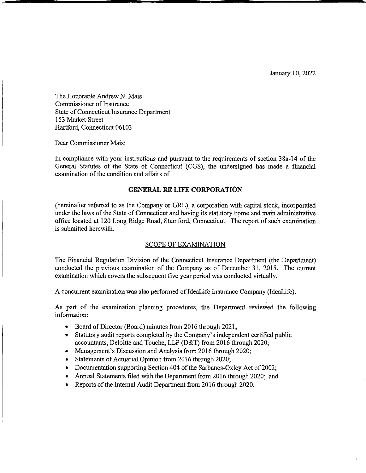January I 0, 2022

The Honorable Andrew N. Mais Commissioner of Insurance State of Connecticut Insurance Department 153 Market Street Hartford, Connecticut 06103

Dear Commissioner Mais:

In compliance with your instructions and pursuant to the requirements of section 38a-14 of the General Statutes of the State of Connecticut (CGS), the undersigned has made a financial examination of the condition and affairs of

#### **GENERAL RE LIFE CORPORATION**

(hereinafter referred to as the Company or GRL), a corporation with capital stock, incorporated under the laws of the State of Connecticut and having its statutory home and main administrative office located at 120 Long Ridge Road, Stamford, Connecticut. The report of such examination is submitted herewith.

#### SCOPE OF EXAMINATION

The Financial Regulation Division of the Connecticut Insurance Department (the Department) conducted the previous examination of the Company as of December 31, 2015. The current examination which covers the subsequent five year period was conducted virtually.

A concurrent examination was also performed of IdeaLife Insurance Company (IdeaLife).

As part of the examination planning procedures, the Department reviewed the following information:

- Board of Director (Board) minutes from 2016 through 2021;
- Statutory audit reports completed by the Company's independent certified public accountants, Deloitte and Touche, LLP (D&T) from 2016 through 2020;
- Management's Discussion and Analysis from 2016 through 2020;
- Statements of Actuarial Opinion from 2016 through 2020;
- Documentation supporting Section 404 of the Sarbanes-Oxley Act of 2002;
- Annual Statements filed with the Department from 2016 through 2020; and
- Reports of the Internal Audit Department from 2016 through 2020.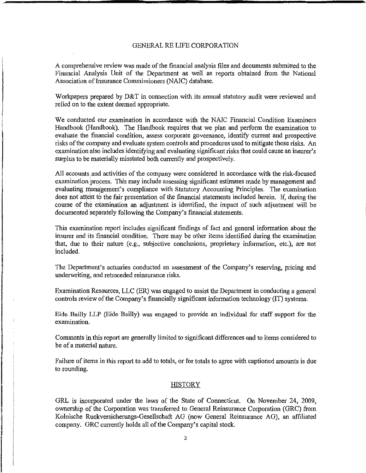A comprehensive review was made ofthe financial analysis files and documents submitted to the Financial Analysis Unit of the Department as well as reports obtained from the National Association of Insurance Commissioners (NAIC) database.

Workpapers prepared by D&T in connection with its annual statutory audit were reviewed and relied on to the extent deemed appropriate.

We conducted our examination in accordance with the NAIC Financial Condition Examiners Handbook (Handbook). The Handbook requires that we plan and perform the examination to evaluate the financial condition, assess corporate governance, identify current and prospective risks ofthe company and evaluate system controls and procedures used to mitigate those risks. An examination also includes identifying and evaluating significant risks that could cause an insurer's surplus to be materially misstated both currently and prospectively.

All accounts,and activities of the company were considered in accordance with the risk-focused examination process. This may include assessing significant estimates made by management and evaluating nianagement's compliance with Statutory Accounting Principles. The examination does not attest to the fair presentation of the financial statements included herein. If, during the course of the examination an adjustment is identified, the impact of such adjustment will be documented separately following the Company's financial statements.

This examination report includes significant findings of fact and general information about the insurer and its financial condition. There may be other items identified during the examination that, due to their nature (e.g., subjective conclusions, proprietary information, etc.), are not included.

The Department's actuaries conducted an assessment of the Company's reserving, pricing and underwriting, and retroceded reinsurance risks.

Examination Resources, LLC (ER) was engaged to assist the Department in conducting a general controls review of the Company's financially significant information technology (IT) systems.

Eide Bailly LLP (Eide Bailly) was engaged to provide an individual for staff support for the examination.

Comments in this report are generally limited to significant differences and to items considered to be of a material nature.

Failure of items in this report to add to totals, or for totals to agree with captioned amounts is due to rounding.

#### **HISTORY**

GRL is incorporated under the laws of the State of Connecticut. On November 24, 2009, ownership of the Corporation was transferred to General Reinsurance Corporation (GRC) from Kolnische Ruckversicherungs-Gesellschaft AG (now General Reinsurance AG), an affiliated company. GRC currently holds all of the Company's capital stock.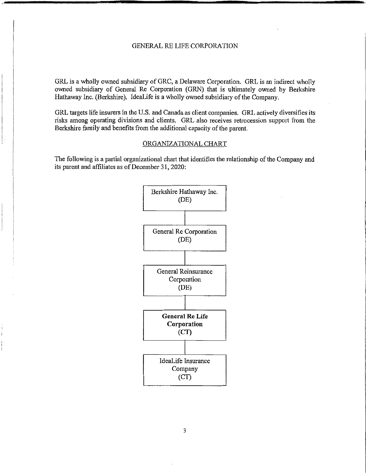GRL is a wholly owned subsidiary of GRC, a Delaware Corporation. GRL is an indirect wholly owned subsidiary of General Re Corporation (GRN) that is ultimately owned by Berkshire Hathaway Inc. (Berkshire). IdeaLife is a wholly owned subsidiary of the Company.

GRL targets life insurers in the U.S. and Canada as client companies. GRL actively diversifies its risks among operating divisions and clients. GRL also receives retrocession support from the Berkshire family and benefits from the additional capacity of the parent.

#### ORGANIZATIONAL CHART

The following is a partial organizational chart that identifies the relationship of the Company and its parent and affiliates as of December 31, 2020:

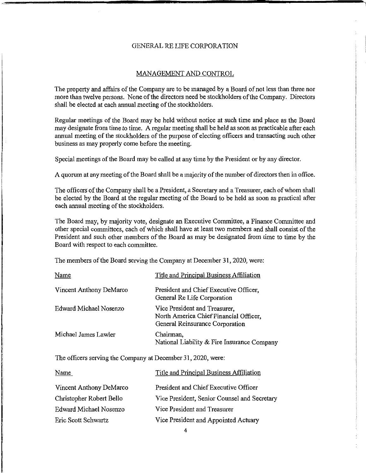#### MANAGEMENT AND CONTROL

The property and affairs of the Company are to be managed by a Board of not less than three nor more than twelve persons. None of the directors need be stockholders of the Company. Directors shall be elected at each annual meeting of the stockholders.

Regular meetings of the Board may be held without notice at such time and place as the Board may designate from time to time. A regular meeting shall be held as soon as practicable after each annual meeting of the stockholders of the purpose of electing officers and transacting such other business as may properly come before the meeting.

Special meetings ofthe Board may be called at any time by the President or by any director.

A quorum at any meeting of the Board shall be a majority of the number of directors then in office.

The officers of the Company shall be a President, a Secretary and a Treasurer, each of whom shall be elected by the Board at the regular meeting of the Board to be held as soon as practical after each annual meeting of the stockholders.

The Board may, by majority vote, designate an Executive Committee, a Finance Committee and other special committees, each of which shall have at least two members and shall consist of the President and such other members of the Board as may be designated from time to time by the Board with respect to each committee.

The members of the Board serving the Company at December 31, 2020, were:

| Name                    | Title and Principal Business Affiliation                                                                   |
|-------------------------|------------------------------------------------------------------------------------------------------------|
| Vincent Anthony DeMarco | President and Chief Executive Officer,<br>General Re Life Corporation                                      |
| Edward Michael Nosenzo  | Vice President and Treasurer,<br>North America Chief Financial Officer,<br>General Reinsurance Corporation |
| Michael James Lawler    | Chairman,<br>National Liability & Fire Insurance Company                                                   |

The officers serving the Company at December 31, 2020, were:

| Name                     | Title and Principal Business Affiliation     |
|--------------------------|----------------------------------------------|
| Vincent Anthony DeMarco  | President and Chief Executive Officer        |
| Christopher Robert Bello | Vice President, Senior Counsel and Secretary |
| Edward Michael Nosenzo   | Vice President and Treasurer                 |
| Eric Scott Schwartz      | Vice President and Appointed Actuary         |
|                          |                                              |

4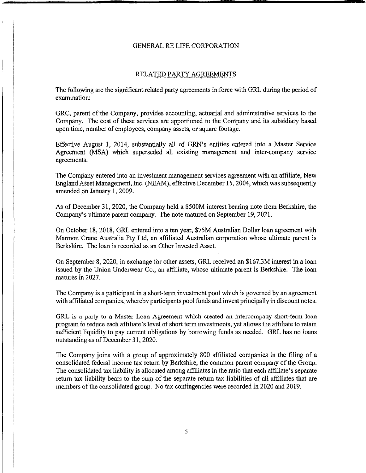#### RELATED PARTY AGREEMENTS

The following are the significant related party agreements in force with GRL during the period of examination:

GRC, parent of the Company, provides accounting, actuarial and administrative services to the Company. The cost of these services are apportioned to the Company and its subsidiary based upon time, number of employees, company assets, or square footage.

Effective August 1, 2014, substantially all of GRN's entities entered into a Master Service Agreement {MSA) which superseded all existing management and inter-company service agreements.

The Company entered into an investment management services agreement with an affiliate, New England Asset Management, Inc. (NEAM), effective December 15, 2004, which was subsequently amended on January 1, 2009.

As of December 31, 2020, the Company held a \$500M interest bearing note from Berkshire, the Company's ultimate parent company. The note matured on September 19, 2021.

On October 18, 2018, GRL entered into a ten year, \$75M Australian Dollar loan agreement with Marmon Crane Australia Pty Ltd, an affiliated Australian corporation whose ultimate parent is Berkshire. The loan is recorded as an Other Invested Asset.

On September 8, 2020, in exchange for other assets, GRL received an \$167.3M interest in a loan issued by the Union Underwear Co., an affiliate, whose ultimate parent is Berkshire. The loan matures in 2027.

The Company is a participant in a short-term investment pool which is governed by an agreement with affiliated companies, whereby participants pool funds and invest principally in discount notes.

GRL is a party to a Master Loan Agreement which created an intercompany short-term loan program to reduce each affiliate's level of short term investments, yet allows the affiliate to retain sufficient liquidity to pay current obligations by borrowing funds as needed. GRL has no loans outstanding as of December 31, 2020.

The Company joins with a group of approximately 800 affiliated companies in the filing of a consolidated federal income tax return by Berkshire, the common parent company of the Group. The consolidated tax liability is allocated among affiliates in the ratio that each affiliate's separate return tax liability bears to the sum of the separate return tax liabilities of all affiliates that are members of the consolidated group. No tax contingencies were recorded in 2020 and 2019.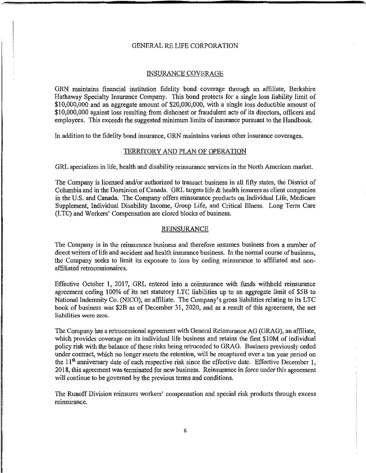#### INSURANCE COVERAGE

GRN maintains financial institution fidelity bond coverage through an affiliate, Berkshire Hathaway Specialty Insurance Company. This bond protects for a single loss liability limit of \$10,000,000 and an aggregate amount of \$20,000,000, with a single loss deductible amount of \$10,000,000 against loss resulting from dishonest or fraudulent acts of its directors, officers and employees. This exceeds the suggested minimum limits of insurance pursuant to the Handbook.

In addition to the fidelity bond insurance, GRN maintains various other insurance coverages.

#### TERRITORY AND PLAN OF OPERATION

GRL specializes in life, health and disability reinsurance services in the North American market.

The Company is licensed and/or authorized to transact business in all fifty states, the District of Columbia and in the Dominion of Canada. GRL targets life & health insurers as client companies in the U.S. and Canada. The Company offers reinsurance products on Individual Life, Medicare Supplement, Individual Disability Income, Group Life, and Critical Illness. Long Term Care (L TC) and Workers' Compensation are closed blocks of business.

#### REINSURANCE

The Company is in the reinsurance business and therefore assumes business from a number of direct writers of life and accident and health insurance business. In the normal course of business, the Company seeks to limit its exposure to loss by ceding reinsurance to affiliated and nonaffiliated retrocessionaires.

Effective October 1, 2017, GRL entered into a coinsurance with funds withheld reinsurance agreement ceding 100% of its net statutory LTC liabilities up to an aggregate limit of \$5B to National Indemnity Co. (NICO), an affiliate. The Company's gross liabilities relating to its LTC book of business was \$28 as of December 31, 2020, and as a result of this agreement, the net liabilities were zero.

The Company has a retrocessional agreement with General Reinsurance AG (GRAG), an affiliate, which provides coverage on its individual life business and retains the first \$10M of individual policy risk with the balance of these risks being retroceded to GRAG. Business previously ceded under contract, which no longer meets the retention, will be recaptured over a ten year period on the 11<sup>th</sup> anniversary date of each respective risk since the effective date. Effective December 1, 2018, this agreement was terminated for new business. Reinsurance in force under this agreement will continue to be governed by the previous terms and conditions.

The Runoff Division reinsures workers' compensation and special risk products through excess reinsurance.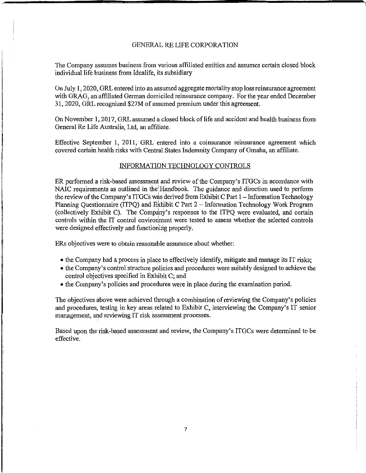The Company assumes business from various affiliated entities and assumes certain closed block individual life business from Idealife, its subsidiary

On July 1, 2020, GRL entered into an assumed aggregate mortality stop loss reinsurance agreement with GRAG, an.affiliated German domiciled reinsurance company. For the year ended December 31, 2020, GRL recognized \$27M of assumed premium under this agreement.

On November 1, 2017, GRL assumed a closed block oflife and accident and health business from General Re Life Australia, Ltd, an affiliate.

Effective September l, 2011, GRL entered into a coinsurance reinsurance agreement which covered certain health risks with Central States Indemnity Company of Omaha, an affiliate.

#### INFORMATION TECHNOLOGY CONTROLS

ER performed a risk-based assessment and review of the Company's ITGCs in accordance with NAIC requirements as outlined in the Handbook. The guidance and direction used to perform the review of the Company's ITGCs was derived from Exhibit C Part 1 - Information Technology Planning Questionnaire (ITPQ) and Exhibit C Part 2 - Information Technology Work Program (collectively Exhibit C). The Compdny's responses to the ITPQ were evaluated, and certain controls within the IT control enviroriment were tested to assess whether the selected controls were designed effectively and functioning properly.

ERs objectives were to obtain reasonable assurance about whether:

- the Company had a process in place to effectively identify, mitigate and manage its IT risks;
- the Company's control structure policies and procedures were suitably designed to achieve the control objectives specified in Exhibit C; and
- the Company's policies and procedures were in place during the examination period.

The objectives above were achieved through a combination ofreviewing the Company's policies and procedures, testing in key areas related to Exhibit C, interviewing the Company's IT senior management, and reviewing IT risk assessment processes.

Based upon the risk-based assessment and review, the Company's ITGCs were determined to be effective.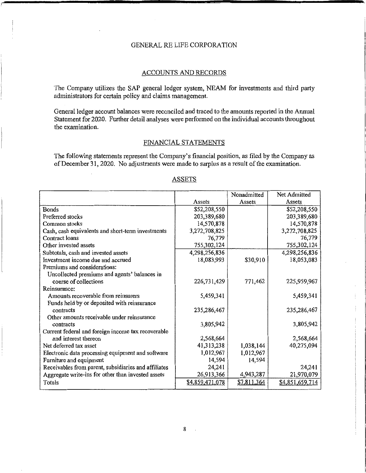#### ACCOUNTS AND RECORDS

The Company utilizes the SAP general ledger system, NEAM for investments and third party administrators for certain policy and claims management.

General ledger account balances were reconciled and traced to the amounts reported in the Annual Statement for 2020. Further detail analyses were performed on the individual accounts throughout the examination.

#### FINANCIAL STATEMENTS

The following statements represent the Company's financial position, as filed by the Company as of December 31, 2020. No adjustments were made to surplus as a result of the examination.

|                                                      |                 | Nonadmitted | Net Admitted    |
|------------------------------------------------------|-----------------|-------------|-----------------|
|                                                      | Assets          | Assets      | Assets          |
| Bonds                                                | \$52,208,550    |             | \$52,208,550    |
| Preferred stocks                                     | 203,389,680     |             | 203,389,680     |
| Common stocks                                        | 14,570,878      |             | 14,570,878      |
| Cash, cash equivalents and short-term investments    | 3,272,708,825   |             | 3,272,708,825   |
| Contract loans                                       | 76,779          |             | 76,779          |
| Other invested assets                                | 755,302,124     |             | 755,302,124     |
| Subtotals, cash and invested assets                  | 4,298,256,836   |             | 4,298,256,836   |
| Investment income due and accrued                    | 18,083,993      | \$30,910    | 18,053,083      |
| Premiums and considerations:                         |                 |             |                 |
| Uncollected premiums and agents' balances in         |                 |             |                 |
| course of collections                                | 226,731,429     | 771,462     | 225,959,967     |
| Reinsurance:                                         |                 |             |                 |
| Amounts recoverable from reinsurers                  | 5,459,341       |             | 5,459,341       |
| Funds held by or deposited with reinsurance          |                 |             |                 |
| contracts                                            | 235,286,467     |             | 235,286,467     |
| Other amounts receivable under reinsurance           |                 |             |                 |
| contracts                                            | 3,805,942       |             | 3,805,942       |
| Current federal and foreign income tax recoverable   |                 |             |                 |
| and interest thereon                                 | 2,568,664       |             | 2,568,664       |
| Net deferred tax asset                               | 41,313,238      | 1,038,144   | 40,275,094      |
| Electronic data processing equipment and software    | 1,012,967       | 1,012,967   |                 |
| Furniture and equipment                              | 14,594          | 14,594      |                 |
| Receivables from parent, subsidiaries and affiliates | 24,241          |             | 24,241          |
| Aggregate write-ins for other than invested assets   | 26,913,366      | 4,943,287   | 21,970,079      |
| Totals                                               | \$4,859,471,078 | \$7,811,364 | \$4,851,659,714 |

#### **ASSETS**

 $\mathbb{R}^2$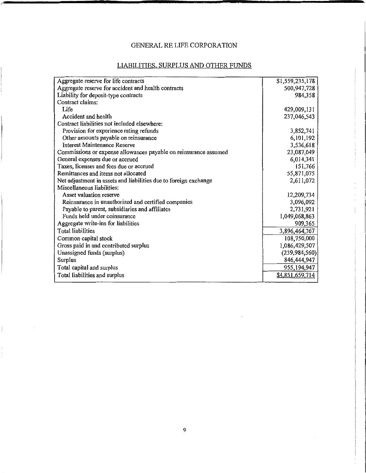## LIABILITIES, SURPLUS AND OTHER FUNDS

| Aggregate reserve for life contracts                             | \$1,559,235,178 |
|------------------------------------------------------------------|-----------------|
| Aggregate reserve for accident and health contracts              | 500,947,728     |
| Liability for deposit-type contracts                             | 984,358         |
| Contract claims:                                                 |                 |
| Life                                                             | 429,009,131     |
| Accident and health                                              | 237,046,543     |
| Contract liabilities not included elsewhere:                     |                 |
| Provision for experience rating refunds                          | 3,852,741       |
| Other amounts payable on reinsurance                             | 6,101,192       |
| Interest Maintenance Reserve                                     | 3,536,618       |
| Commissions or expense allowances payable on reinsurance assumed | 23,087,049      |
| General expenses due or accrued                                  | 6,014,341       |
| Taxes, licenses and fees due or accrued                          | 151,766         |
| Remittances and items not allocated                              | 55,871,075      |
| Net adjustment in assets and liabilities due to foreign exchange | 2,611,072       |
| Miscellaneous liabilities:                                       |                 |
| Asset valuation reserve                                          | 12,209,734      |
| Reinsurance in unauthorized and certified companies              | 3,096,092       |
| Payable to parent, subsidiaries and affiliates                   | 2,731,921       |
| Funds held under coinsurance                                     | 1,049,068,863   |
| Aggregate write-ins for liabilities                              | 909,365         |
| Total liabilities                                                | 3,896,464,767   |
| Common capital stock                                             | 108,750,000     |
| Gross paid in and contributed surplus                            | 1,086,429,507   |
| Unassigned funds (surplus)                                       | (239, 984, 560) |
| Surplus                                                          | 846,444,947     |
| Total capital and surplus                                        | 955,194,947     |
| Total liabilities and surplus                                    | \$4,851,659,714 |
|                                                                  |                 |

 $\mathbf{I}$ 

 $\bar{z}$ ł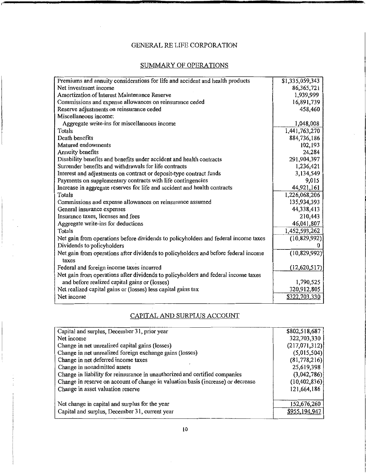## SUMMARY OF OPERATIONS

| Premiums and annuity considerations for life and accident and health products       | \$1,335,059,343 |
|-------------------------------------------------------------------------------------|-----------------|
| Net investment income                                                               | 86,365,721      |
| Amortization of Interest Maintenance Reserve                                        | 1,939,999       |
| Commissions and expense allowances on reinsurance ceded                             | 16,891,739      |
| Reserve adjustments on reinsurance ceded                                            | 458,460         |
| Miscellaneous income:                                                               |                 |
| Aggregate write-ins for miscellaneous income                                        | 1,048,008       |
| Totals                                                                              | 1,441,763,270   |
| Death benefits                                                                      | 884,736,186     |
| Matured endowments                                                                  | 102,193         |
| Annuity benefits                                                                    | 24,284          |
| Disability benefits and benefits under accident and health contracts                | 291,904,397     |
| Surrender benefits and withdrawals for life contracts                               | 1,236,421       |
| Interest and adjustments on contract or deposit-type contract funds                 | 3,134,549       |
| Payments on supplementary contracts with life contingencies                         | 9,015           |
| Increase in aggregate reserves for life and accident and health contracts           | 44,921,161      |
| Totals                                                                              | 1,226,068,206   |
| Commissions and expense allowances on reinsurance assumed                           | 135,934,393     |
| General insurance expenses                                                          | 44,338,413      |
| Insurance taxes, licenses and fees                                                  | 210,443         |
| Aggregate write-ins for deductions                                                  | 46,041,807      |
| Totals                                                                              | 1,452,593,262   |
| Net gain from operations before dividends to policyholders and federal income taxes | (10, 829, 992)  |
| Dividends to policyholders                                                          |                 |
| Net gain from operations after dividends to policyholders and before federal income | (10, 829, 992)  |
| taxes                                                                               |                 |
| Federal and foreign income taxes incurred                                           | (12, 620, 517)  |
| Net gain from operations after dividends to policyholders and federal income taxes  |                 |
| and before realized capital gains or (losses)                                       | 1,790,525       |
| Net realized capital gains or (losses) less capital gains tax                       | 320,912,805     |
| Net income                                                                          | \$322,703,330   |
|                                                                                     |                 |

## CAPITAL AND SURPLUS ACCOUNT

| Capital and surplus, December 31, prior year                                     | \$802,518,687   |
|----------------------------------------------------------------------------------|-----------------|
| Net income                                                                       | 322,703,330     |
| Change in net unrealized capital gains (losses)                                  | (217, 071, 312) |
| Change in net unrealized foreign exchange gains (losses)                         | (5,015,504)     |
| Change in net deferred income taxes                                              | (81, 778, 216)  |
| Change in nonadmitted assets                                                     | 25,619,398      |
| Change in liability for reinsurance in unauthorized and certified companies      | (3,042,786)     |
| Change in reserve on account of change in valuation basis (increase) or decrease | (10, 402, 836)  |
| Change in asset valuation reserve                                                | 121,664,186     |
|                                                                                  |                 |
| Net change in capital and surplus for the year                                   | 152,676,260     |
| Capital and surplus, December 31, current year                                   | \$955,194,947   |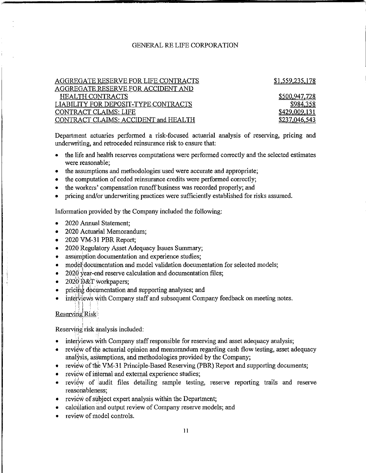| AGGREGATE RESERVE FOR LIFE CONTRACTS | \$1,559,235,178      |
|--------------------------------------|----------------------|
| AGGREGATE RESERVE FOR ACCIDENT AND   |                      |
| <b>HEALTH CONTRACTS</b>              | <u>\$500,947,728</u> |
| LIABILITY FOR DEPOSIT-TYPE CONTRACTS | \$984.358            |
| CONTRACT CLAIMS: LIFE                | \$429,009,131        |
| CONTRACT CLAIMS: ACCIDENT and HEALTH | \$237,046,543        |
|                                      |                      |

Department actuaries performed a risk-focused actuarial analysis of reserving, pricing and underwriting, and retroceded reinsurance risk to ensure that

- the life and health reserves computations were performed correctly and the selected estimates were reasonable;
- the assumptions and methodologies used were accurate and appropriate;
- the computation of ceded reinsurance credits were performed correctly;
- the workers' compensation runoff business was recorded properly; and
- pricing and/or underwriting practices were sufficiently established for risks assumed.

Information provided by the Company included the following:

- 2020 Annual Statement;
- 2020 Actuarial Memorandum;
- 2020 VM-31 PBR Report;
- 2020 Regulatory Asset Adequacy Issues Summary;
- assumption documentation and experience studies;
- model documentation and model validation documentation for selected models;
- 2020 year-end reserve calculation and documentation files;
- 2020 D&T workpapers;
- pricing documentation and supporting analyses; and
- interviews with Company staff and subsequent Company feedback on meeting notes.

#### Reserving Risk'

 $:$ 

Reserving risk analysis included:

- interviews with Company staff responsible for reserving and asset adequacy analysis;
- review of the actuarial opinion and memorandum regarding cash flow testing, asset adequacy analysis, assumptions, and methodologies provided by the Company;
- review of the VM-31 Principle-Based Reserving (PBR) Report and supporting documents;
- review of internal and external experience studies;
- review of audit files detailing sample testing, reserve reporting trails and reserve reasonableness;
- review of subject expert analysis within the Department;
- calculation and output review of Company reserve models; and
- review of model controls.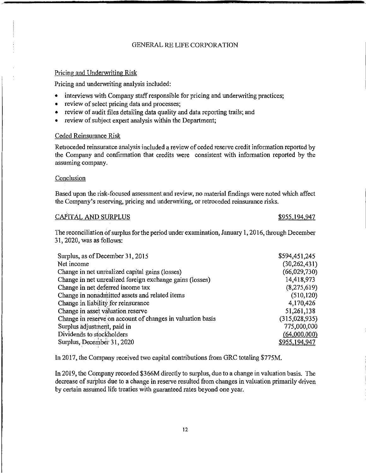#### Pricing and Underwriting Risk

Pricing and underwriting analysis included:

- interviews with Company staff responsible for pricing and underwriting practices;
- review of select pricing data and processes;
- review of audit files detailing data quality and data reporting trails; and
- review of subject expert analysis within the Department;

#### Ceded Reinsurance Risk

Retroceded reinsurance analysis included a review of ceded reserve credit information reported by the Company and confirmation that credits were consistent with information reported by the assuming company.

#### Conclusion

Based upon the risk-focused assessment and review, no material findings were noted which affect the Company's reserving, pricing and underwriting, ot retroceded reinsurance risks.

#### CAPITAL AND SURPLUS **\$955,194,947**

The reconciliation of surplus for the period under examination, January 1, 2016, through December 31, 2020, was as follows:

| Surplus, as of December 31, 2015                           | \$594,451,245 |
|------------------------------------------------------------|---------------|
| Net income                                                 | (30,262,431)  |
| Change in net unrealized capital gains (losses)            | (66,029,730)  |
| Change in net unrealized foreign exchange gains (losses)   | 14,418,973    |
| Change in net deferred income tax                          | (8,275,619)   |
| Change in nonadmitted assets and related items             | (510, 120)    |
| Change in liability for reinsurance                        | 4,170,426     |
| Change in asset valuation reserve                          | 51,261,138    |
| Change in reserve on account of changes in valuation basis | (315,028,935) |
| Surplus adjustment, paid in                                | 775,000,000   |
| Dividends to stockholders                                  | (64,000,000)  |
| Surplus, December 31, 2020                                 | \$955,194,947 |

In 2017, the Company received two capital contributions from GRC totaling \$775M.

In 2019, the Company recorded \$366M directly to surplus, due to a change in valuation basis. The decrease of surplus due to a change in reserve resulted from changes in valuation primarily driven by certain assumed life treaties with guaranteed rates beyond one year.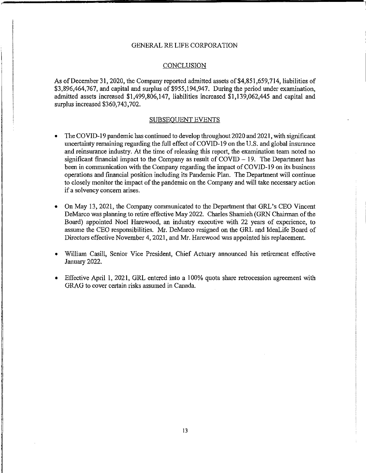#### **CONCLUSION**

As of December 31, 2020, the Company reported admitted assets of \$4,851,659,714, liabilities of \$3,896,464,767, and capital and surplus of \$955,194,947. During the period under examination, admitted assets increased \$1,499,806,147, liabilities increased \$1,139,062,445 and capital and surplus increased \$360,743,702.

#### SUBSEQUENT EVENTS

- The COVID-19 pandemic has continued to develop throughout 2020 and 2021, with significant uncertainty remaining regarding the full effect of COVID-19 on the U.S. and global insurance and reinsurance industry. At the time of releasing this report, the examination team noted no significant financial impact to the Company as result of  $COVID - 19$ . The Department has been in communication with the Company regarding the impact of COVID-19 on its business operations and financial position including its Pandemic Plan. The Department will continue to closely monitor the impact of the pandemic on the Company and will take necessary action if a solvency concern arises.
- On May 13, 2021, the Company communicated to the Department that GRL's CEO Vincent DeMarco was planning to retire effective May 2022. Charles Shamieh (GRN Chairman ofthe Board) appointed Noel Harewood, an industry executive with 22 years of experience, to assume the CEO responsibilities. Mr. DeMarco resigned on the GRL and IdeaLife Board of Directors effective November 4, 2021, and Mr. Harewood was appointed his replacement.
- William Casill, Senior Vice President, Chief Actuary announced his retirement effective January 2022.
- Effective April 1, 2021, GRL entered into a 100% quota share retrocession agreement with GRAG to cover certain risks assumed in Canada.